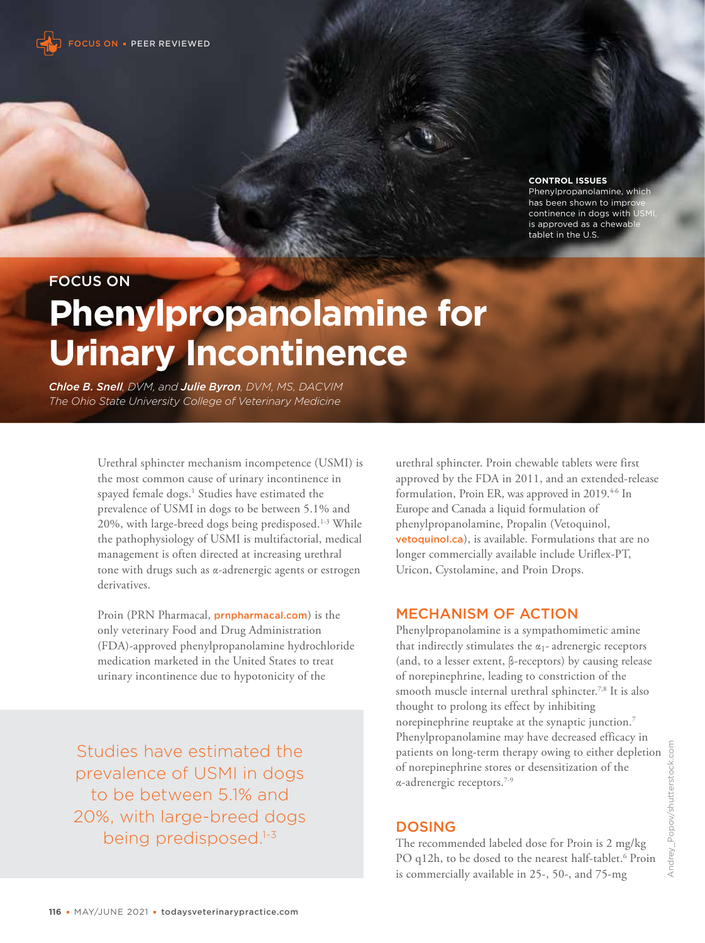

**CONTROL ISSUES**

Phenylpropanolamine, whic has been shown to impro continence in dogs with is approved as a chewab tablet in the U.S.

FOCUS ON

# **Phenylpropanolamine for Urinary Incontinence**

*Chloe B. Snell, DVM, and Julie Byron, DVM, MS, DACVIM The Ohio State University College of Veterinary Medicine*

> Urethral sphincter mechanism incompetence (USMI) is the most common cause of urinary incontinence in spayed female dogs.<sup>1</sup> Studies have estimated the prevalence of USMI in dogs to be between 5.1% and 20%, with large-breed dogs being predisposed.1-3 While the pathophysiology of USMI is multifactorial, medical management is often directed at increasing urethral tone with drugs such as α-adrenergic agents or estrogen derivatives.

Proin (PRN Pharmacal, prnpharmacal.com) is the only veterinary Food and Drug Administration (FDA)-approved phenylpropanolamine hydrochloride medication marketed in the United States to treat urinary incontinence due to hypotonicity of the

Studies have estimated the prevalence of USMI in dogs to be between 5.1% and 20%, with large-breed dogs being predisposed.<sup>1-3</sup>

urethral sphincter. Proin chewable tablets were first approved by the FDA in 2011, and an extended-release formulation, Proin ER, was approved in 2019.<sup>4-6</sup> In Europe and Canada a liquid formulation of phenylpropanolamine, Propalin (Vetoquinol, vetoquinol.ca), is available. Formulations that are no longer commercially available include Uriflex-PT, Uricon, Cystolamine, and Proin Drops.

## MECHANISM OF ACTION

Phenylpropanolamine is a sympathomimetic amine that indirectly stimulates the  $\alpha_1$ - adrenergic receptors (and, to a lesser extent, β-receptors) by causing release of norepinephrine, leading to constriction of the smooth muscle internal urethral sphincter.<sup>7,8</sup> It is also thought to prolong its effect by inhibiting norepinephrine reuptake at the synaptic junction.7 Phenylpropanolamine may have decreased efficacy in patients on long-term therapy owing to either depletion of norepinephrine stores or desensitization of the α-adrenergic receptors.7-9

## DOSING

The recommended labeled dose for Proin is 2 mg/kg PO q12h, to be dosed to the nearest half-tablet.<sup>6</sup> Proin is commercially available in 25-, 50-, and 75-mg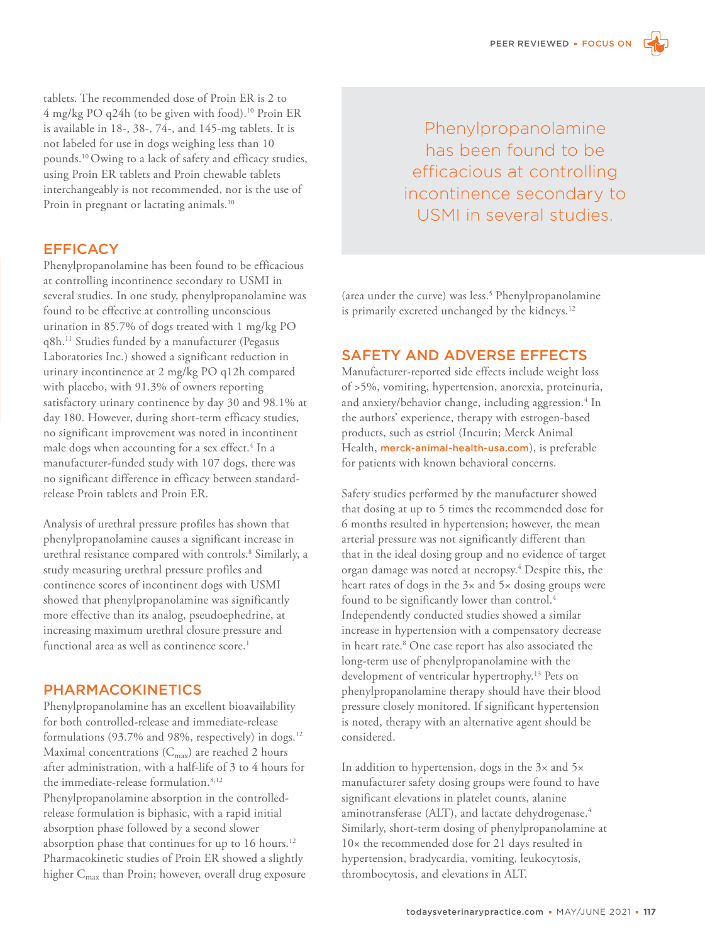tablets. The recommended dose of Proin ER is 2 to 4 mg/kg PO q24h (to be given with food).10 Proin ER is available in 18-, 38-, 74-, and 145-mg tablets. It is not labeled for use in dogs weighing less than 10 pounds.10 Owing to a lack of safety and efficacy studies, using Proin ER tablets and Proin chewable tablets interchangeably is not recommended, nor is the use of Proin in pregnant or lactating animals.<sup>10</sup>

## **EFFICACY**

Phenylpropanolamine has been found to be efficacious at controlling incontinence secondary to USMI in several studies. In one study, phenylpropanolamine was found to be effective at controlling unconscious urination in 85.7% of dogs treated with 1 mg/kg PO q8h.11 Studies funded by a manufacturer (Pegasus Laboratories Inc.) showed a significant reduction in urinary incontinence at 2 mg/kg PO q12h compared with placebo, with 91.3% of owners reporting satisfactory urinary continence by day 30 and 98.1% at day 180. However, during short-term efficacy studies, no significant improvement was noted in incontinent male dogs when accounting for a sex effect.<sup>4</sup> In a manufacturer-funded study with 107 dogs, there was no significant difference in efficacy between standardrelease Proin tablets and Proin ER.

Analysis of urethral pressure profiles has shown that phenylpropanolamine causes a significant increase in urethral resistance compared with controls.8 Similarly, a study measuring urethral pressure profiles and continence scores of incontinent dogs with USMI showed that phenylpropanolamine was significantly more effective than its analog, pseudoephedrine, at increasing maximum urethral closure pressure and functional area as well as continence score.<sup>1</sup>

#### PHARMACOKINETICS

Phenylpropanolamine has an excellent bioavailability for both controlled-release and immediate-release formulations (93.7% and 98%, respectively) in dogs.<sup>12</sup> Maximal concentrations  $(C_{\text{max}})$  are reached 2 hours after administration, with a half-life of 3 to 4 hours for the immediate-release formulation.<sup>8,12</sup> Phenylpropanolamine absorption in the controlledrelease formulation is biphasic, with a rapid initial absorption phase followed by a second slower absorption phase that continues for up to 16 hours.<sup>12</sup> Pharmacokinetic studies of Proin ER showed a slightly higher C<sub>max</sub> than Proin; however, overall drug exposure

Phenylpropanolamine has been found to be efficacious at controlling incontinence secondary to USMI in several studies.

(area under the curve) was less.5 Phenylpropanolamine is primarily excreted unchanged by the kidneys.<sup>12</sup>

#### SAFETY AND ADVERSE EFFECTS

Manufacturer-reported side effects include weight loss of >5%, vomiting, hypertension, anorexia, proteinuria, and anxiety/behavior change, including aggression.<sup>4</sup> In the authors' experience, therapy with estrogen-based products, such as estriol (Incurin; Merck Animal Health, merck-animal-health-usa.com), is preferable for patients with known behavioral concerns.

Safety studies performed by the manufacturer showed that dosing at up to 5 times the recommended dose for 6 months resulted in hypertension; however, the mean arterial pressure was not significantly different than that in the ideal dosing group and no evidence of target organ damage was noted at necropsy.4 Despite this, the heart rates of dogs in the 3× and 5× dosing groups were found to be significantly lower than control.<sup>4</sup> Independently conducted studies showed a similar increase in hypertension with a compensatory decrease in heart rate.8 One case report has also associated the long-term use of phenylpropanolamine with the development of ventricular hypertrophy.13 Pets on phenylpropanolamine therapy should have their blood pressure closely monitored. If significant hypertension is noted, therapy with an alternative agent should be considered.

In addition to hypertension, dogs in the 3× and 5× manufacturer safety dosing groups were found to have significant elevations in platelet counts, alanine aminotransferase (ALT), and lactate dehydrogenase.<sup>4</sup> Similarly, short-term dosing of phenylpropanolamine at 10× the recommended dose for 21 days resulted in hypertension, bradycardia, vomiting, leukocytosis, thrombocytosis, and elevations in ALT.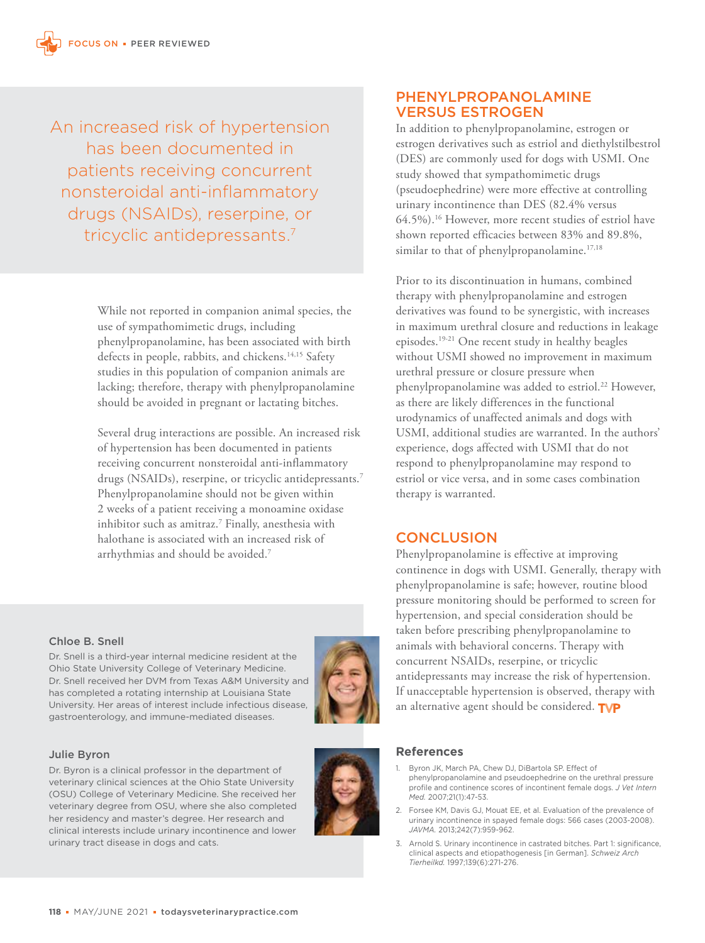An increased risk of hypertension has been documented in patients receiving concurrent nonsteroidal anti-inflammatory drugs (NSAIDs), reserpine, or tricyclic antidepressants.7

> While not reported in companion animal species, the use of sympathomimetic drugs, including phenylpropanolamine, has been associated with birth defects in people, rabbits, and chickens.<sup>14,15</sup> Safety studies in this population of companion animals are lacking; therefore, therapy with phenylpropanolamine should be avoided in pregnant or lactating bitches.

Several drug interactions are possible. An increased risk of hypertension has been documented in patients receiving concurrent nonsteroidal anti-inflammatory drugs (NSAIDs), reserpine, or tricyclic antidepressants.<sup>7</sup> Phenylpropanolamine should not be given within 2 weeks of a patient receiving a monoamine oxidase inhibitor such as amitraz.7 Finally, anesthesia with halothane is associated with an increased risk of arrhythmias and should be avoided.7

## PHENYLPROPANOLAMINE VERSUS ESTROGEN

In addition to phenylpropanolamine, estrogen or estrogen derivatives such as estriol and diethylstilbestrol (DES) are commonly used for dogs with USMI. One study showed that sympathomimetic drugs (pseudoephedrine) were more effective at controlling urinary incontinence than DES (82.4% versus 64.5%).16 However, more recent studies of estriol have shown reported efficacies between 83% and 89.8%, similar to that of phenylpropanolamine.<sup>17,18</sup>

Prior to its discontinuation in humans, combined therapy with phenylpropanolamine and estrogen derivatives was found to be synergistic, with increases in maximum urethral closure and reductions in leakage episodes.19-21 One recent study in healthy beagles without USMI showed no improvement in maximum urethral pressure or closure pressure when phenylpropanolamine was added to estriol.<sup>22</sup> However, as there are likely differences in the functional urodynamics of unaffected animals and dogs with USMI, additional studies are warranted. In the authors' experience, dogs affected with USMI that do not respond to phenylpropanolamine may respond to estriol or vice versa, and in some cases combination therapy is warranted.

# **CONCLUSION**

Phenylpropanolamine is effective at improving continence in dogs with USMI. Generally, therapy with phenylpropanolamine is safe; however, routine blood pressure monitoring should be performed to screen for hypertension, and special consideration should be taken before prescribing phenylpropanolamine to animals with behavioral concerns. Therapy with concurrent NSAIDs, reserpine, or tricyclic antidepressants may increase the risk of hypertension. If unacceptable hypertension is observed, therapy with an alternative agent should be considered. TVP

#### Chloe B. Snell

Dr. Snell is a third-year internal medicine resident at the Ohio State University College of Veterinary Medicine. Dr. Snell received her DVM from Texas A&M University and has completed a rotating internship at Louisiana State University. Her areas of interest include infectious disease, gastroenterology, and immune-mediated diseases.



Dr. Byron is a clinical professor in the department of veterinary clinical sciences at the Ohio State University (OSU) College of Veterinary Medicine. She received her veterinary degree from OSU, where she also completed her residency and master's degree. Her research and clinical interests include urinary incontinence and lower urinary tract disease in dogs and cats.



#### **References**

- 1. Byron JK, March PA, Chew DJ, DiBartola SP. Effect of phenylpropanolamine and pseudoephedrine on the urethral pressure profile and continence scores of incontinent female dogs. *J Vet Intern Med.* 2007;21(1):47-53.
- 2. Forsee KM, Davis GJ, Mouat EE, et al. Evaluation of the prevalence of urinary incontinence in spayed female dogs: 566 cases (2003-2008). *JAVMA.* 2013;242(7):959-962.
- 3. Arnold S. Urinary incontinence in castrated bitches. Part 1: significance, clinical aspects and etiopathogenesis [in German]. *Schweiz Arch Tierheilkd.* 1997;139(6):271-276.